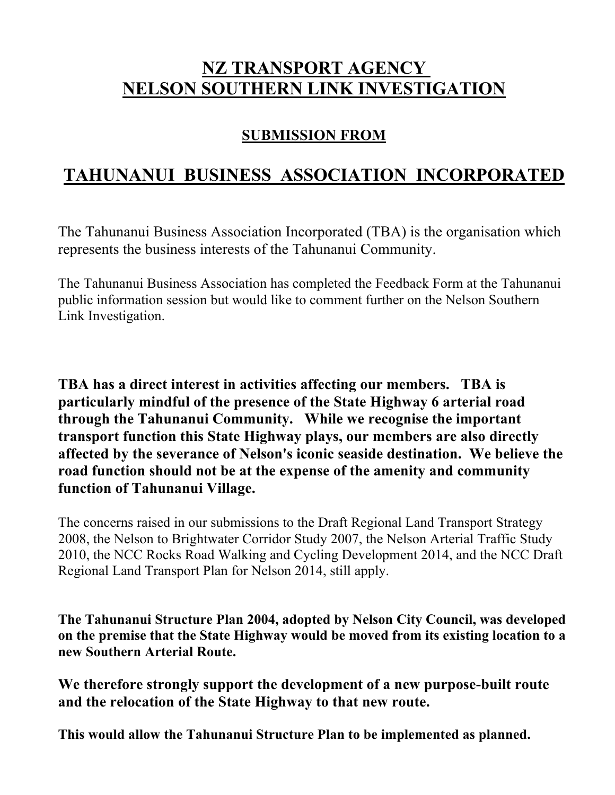## **NZ TRANSPORT AGENCY NELSON SOUTHERN LINK INVESTIGATION**

#### **SUBMISSION FROM**

## **TAHUNANUI BUSINESS ASSOCIATION INCORPORATED**

The Tahunanui Business Association Incorporated (TBA) is the organisation which represents the business interests of the Tahunanui Community.

The Tahunanui Business Association has completed the Feedback Form at the Tahunanui public information session but would like to comment further on the Nelson Southern Link Investigation.

**TBA has a direct interest in activities affecting our members. TBA is particularly mindful of the presence of the State Highway 6 arterial road through the Tahunanui Community. While we recognise the important transport function this State Highway plays, our members are also directly affected by the severance of Nelson's iconic seaside destination. We believe the road function should not be at the expense of the amenity and community function of Tahunanui Village.**

The concerns raised in our submissions to the Draft Regional Land Transport Strategy 2008, the Nelson to Brightwater Corridor Study 2007, the Nelson Arterial Traffic Study 2010, the NCC Rocks Road Walking and Cycling Development 2014, and the NCC Draft Regional Land Transport Plan for Nelson 2014, still apply.

**The Tahunanui Structure Plan 2004, adopted by Nelson City Council, was developed on the premise that the State Highway would be moved from its existing location to a new Southern Arterial Route.**

**We therefore strongly support the development of a new purpose-built route and the relocation of the State Highway to that new route.**

**This would allow the Tahunanui Structure Plan to be implemented as planned.**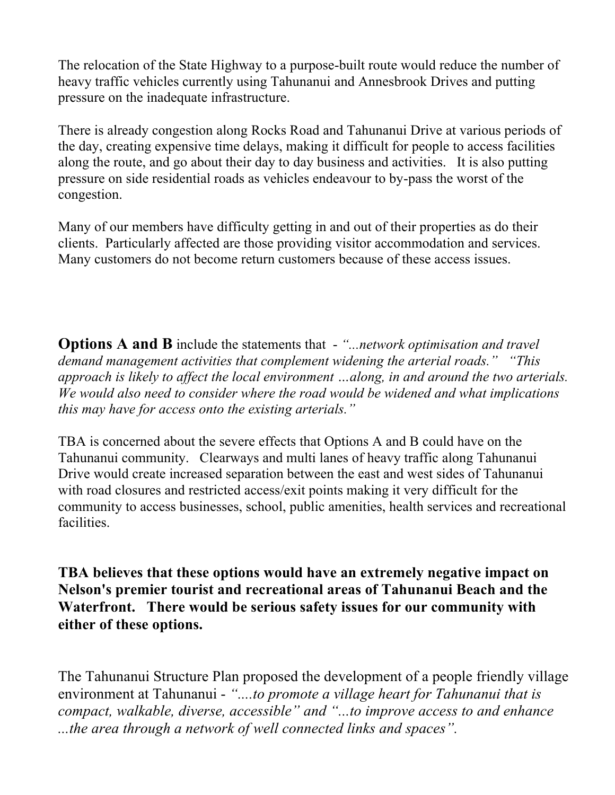The relocation of the State Highway to a purpose-built route would reduce the number of heavy traffic vehicles currently using Tahunanui and Annesbrook Drives and putting pressure on the inadequate infrastructure.

There is already congestion along Rocks Road and Tahunanui Drive at various periods of the day, creating expensive time delays, making it difficult for people to access facilities along the route, and go about their day to day business and activities. It is also putting pressure on side residential roads as vehicles endeavour to by-pass the worst of the congestion.

Many of our members have difficulty getting in and out of their properties as do their clients. Particularly affected are those providing visitor accommodation and services. Many customers do not become return customers because of these access issues.

**Options A and B** include the statements that - *"...network optimisation and travel demand management activities that complement widening the arterial roads." "This approach is likely to affect the local environment …along, in and around the two arterials. We would also need to consider where the road would be widened and what implications this may have for access onto the existing arterials."*

TBA is concerned about the severe effects that Options A and B could have on the Tahunanui community. Clearways and multi lanes of heavy traffic along Tahunanui Drive would create increased separation between the east and west sides of Tahunanui with road closures and restricted access/exit points making it very difficult for the community to access businesses, school, public amenities, health services and recreational facilities.

**TBA believes that these options would have an extremely negative impact on Nelson's premier tourist and recreational areas of Tahunanui Beach and the Waterfront. There would be serious safety issues for our community with either of these options.**

The Tahunanui Structure Plan proposed the development of a people friendly village environment at Tahunanui - *"....to promote a village heart for Tahunanui that is compact, walkable, diverse, accessible" and "...to improve access to and enhance ...the area through a network of well connected links and spaces".*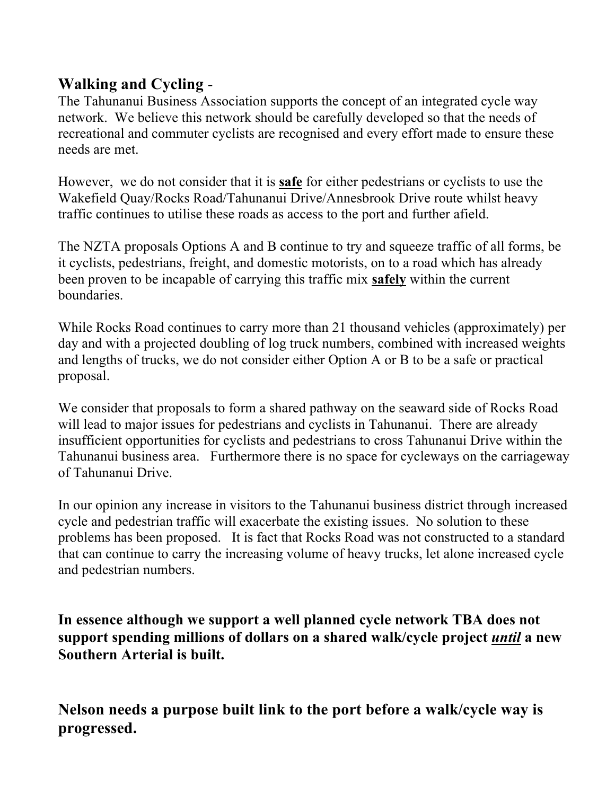### **Walking and Cycling** -

The Tahunanui Business Association supports the concept of an integrated cycle way network. We believe this network should be carefully developed so that the needs of recreational and commuter cyclists are recognised and every effort made to ensure these needs are met.

However, we do not consider that it is **safe** for either pedestrians or cyclists to use the Wakefield Quay/Rocks Road/Tahunanui Drive/Annesbrook Drive route whilst heavy traffic continues to utilise these roads as access to the port and further afield.

The NZTA proposals Options A and B continue to try and squeeze traffic of all forms, be it cyclists, pedestrians, freight, and domestic motorists, on to a road which has already been proven to be incapable of carrying this traffic mix **safely** within the current boundaries.

While Rocks Road continues to carry more than 21 thousand vehicles (approximately) per day and with a projected doubling of log truck numbers, combined with increased weights and lengths of trucks, we do not consider either Option A or B to be a safe or practical proposal.

We consider that proposals to form a shared pathway on the seaward side of Rocks Road will lead to major issues for pedestrians and cyclists in Tahunanui. There are already insufficient opportunities for cyclists and pedestrians to cross Tahunanui Drive within the Tahunanui business area. Furthermore there is no space for cycleways on the carriageway of Tahunanui Drive.

In our opinion any increase in visitors to the Tahunanui business district through increased cycle and pedestrian traffic will exacerbate the existing issues. No solution to these problems has been proposed. It is fact that Rocks Road was not constructed to a standard that can continue to carry the increasing volume of heavy trucks, let alone increased cycle and pedestrian numbers.

**In essence although we support a well planned cycle network TBA does not support spending millions of dollars on a shared walk/cycle project** *until* **a new Southern Arterial is built.** 

**Nelson needs a purpose built link to the port before a walk/cycle way is progressed.**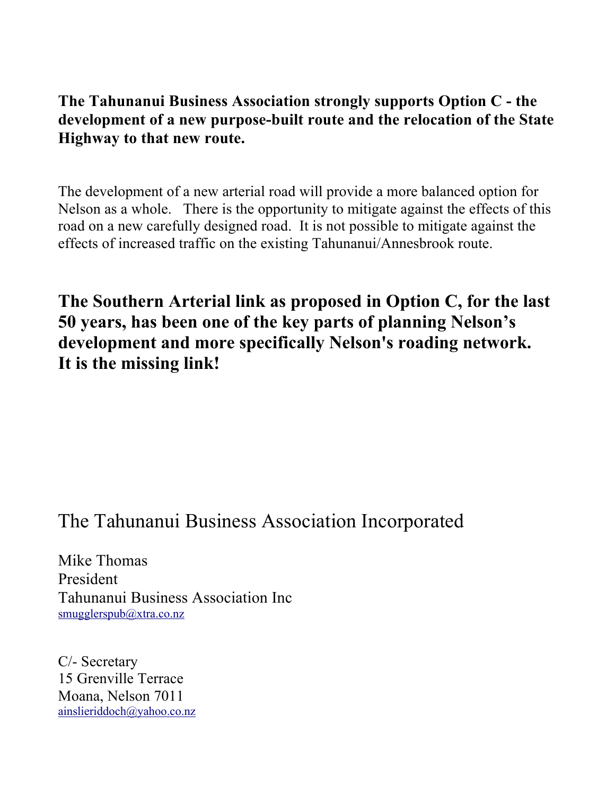#### **The Tahunanui Business Association strongly supports Option C - the development of a new purpose-built route and the relocation of the State Highway to that new route.**

The development of a new arterial road will provide a more balanced option for Nelson as a whole. There is the opportunity to mitigate against the effects of this road on a new carefully designed road. It is not possible to mitigate against the effects of increased traffic on the existing Tahunanui/Annesbrook route.

**The Southern Arterial link as proposed in Option C, for the last 50 years, has been one of the key parts of planning Nelson's development and more specifically Nelson's roading network. It is the missing link!**

# The Tahunanui Business Association Incorporated

Mike Thomas President Tahunanui Business Association Inc smugglerspub@xtra.co.nz

C/- Secretary 15 Grenville Terrace Moana, Nelson 7011 ainslieriddoch@yahoo.co.nz